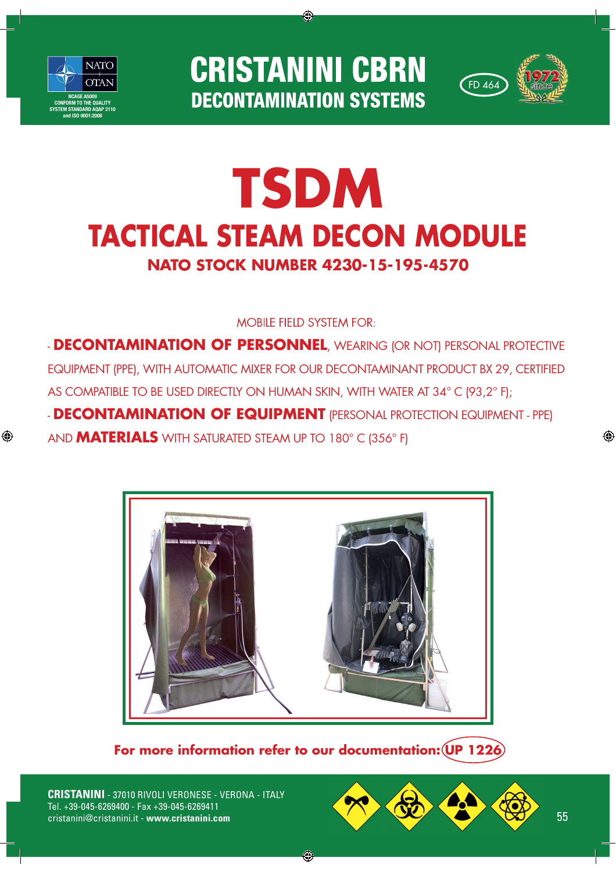

⊕

**CRISTANINI CBRN DECONTAMINATION SYSTEMS** 

◈



# NATO STOCK NUMBER 4230-15-195-4570 **TSDM TACTICAL STEAM DECON MODULE**

# **MOBILE FIELD SYSTEM FOR:**

- **DECONTAMINATION OF PERSONNEL**, WEARING (OR NOT) PERSONAL PROTECTIVE EQUIPMENT (PPE), WITH AUTOMATIC MIXER FOR OUR DECONTAMINANT PRODUCT BX 29, CERTIFIED AS COMPATIBLE TO BE USED DIRECTLY ON HUMAN SKIN, WITH WATER AT 34° C (93,2° F); - **DECONTAMINATION OF EQUIPMENT** (PERSONAL PROTECTION EQUIPMENT - PPE) AND **MATERIALS** WITH SATURATED STEAM UP TO 180° C (356° F)



**For more information refer to our documentation: UP 1226**

◈

**CRISTANINI** - 37010 RIVOLI VERONESE - VERONA - ITALY Tel. +39-045-6269400 - Fax +39-045-6269411



◈